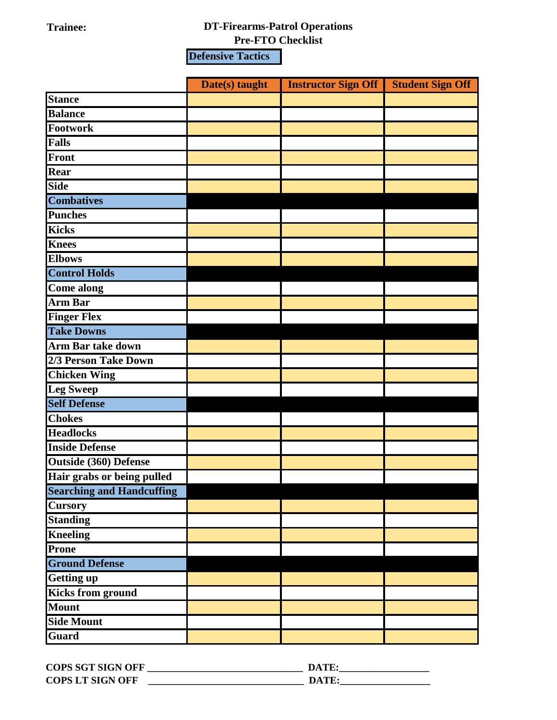## **Trainee: DT-Firearms-Patrol Operations**

**Pre-FTO Checklist**

**Defensive Tactics**

|                                  | Date(s) taught | <b>Instructor Sign Off</b> | <b>Student Sign Off</b> |
|----------------------------------|----------------|----------------------------|-------------------------|
| <b>Stance</b>                    |                |                            |                         |
| <b>Balance</b>                   |                |                            |                         |
| Footwork                         |                |                            |                         |
| <b>Falls</b>                     |                |                            |                         |
| <b>Front</b>                     |                |                            |                         |
| Rear                             |                |                            |                         |
| <b>Side</b>                      |                |                            |                         |
| <b>Combatives</b>                |                |                            |                         |
| <b>Punches</b>                   |                |                            |                         |
| <b>Kicks</b>                     |                |                            |                         |
| <b>Knees</b>                     |                |                            |                         |
| <b>Elbows</b>                    |                |                            |                         |
| <b>Control Holds</b>             |                |                            |                         |
| <b>Come along</b>                |                |                            |                         |
| <b>Arm Bar</b>                   |                |                            |                         |
| <b>Finger Flex</b>               |                |                            |                         |
| <b>Take Downs</b>                |                |                            |                         |
| <b>Arm Bar take down</b>         |                |                            |                         |
| 2/3 Person Take Down             |                |                            |                         |
| <b>Chicken Wing</b>              |                |                            |                         |
| <b>Leg Sweep</b>                 |                |                            |                         |
| <b>Self Defense</b>              |                |                            |                         |
| <b>Chokes</b>                    |                |                            |                         |
| <b>Headlocks</b>                 |                |                            |                         |
| <b>Inside Defense</b>            |                |                            |                         |
| <b>Outside (360) Defense</b>     |                |                            |                         |
| Hair grabs or being pulled       |                |                            |                         |
| <b>Searching and Handcuffing</b> |                |                            |                         |
| <b>Cursory</b>                   |                |                            |                         |
| <b>Standing</b>                  |                |                            |                         |
| <b>Kneeling</b>                  |                |                            |                         |
| Prone                            |                |                            |                         |
| <b>Ground Defense</b>            |                |                            |                         |
| <b>Getting up</b>                |                |                            |                         |
| <b>Kicks from ground</b>         |                |                            |                         |
| <b>Mount</b>                     |                |                            |                         |
| <b>Side Mount</b>                |                |                            |                         |
| <b>Guard</b>                     |                |                            |                         |

| <b>COPS SGT SIGN OFF</b> | DATE  |
|--------------------------|-------|
| <b>COPS LT SIGN OFF</b>  | DATE: |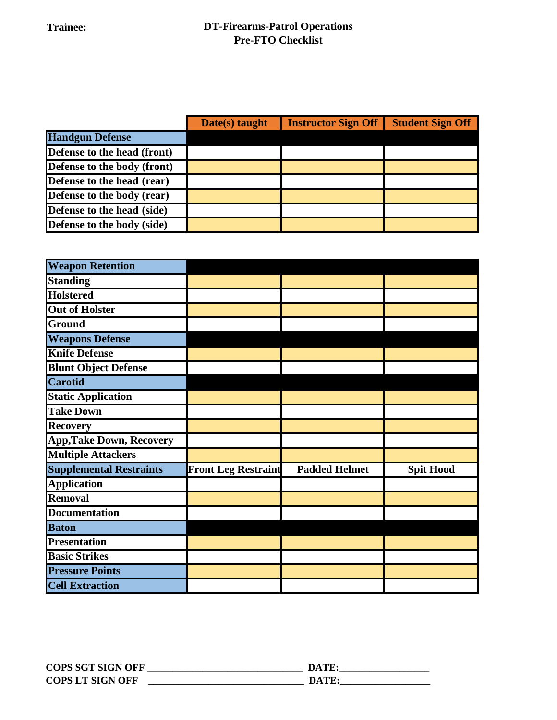|                             | Date(s) taught | <b>Instructor Sign Off</b> | <b>Student Sign Off</b> |
|-----------------------------|----------------|----------------------------|-------------------------|
| <b>Handgun Defense</b>      |                |                            |                         |
| Defense to the head (front) |                |                            |                         |
| Defense to the body (front) |                |                            |                         |
| Defense to the head (rear)  |                |                            |                         |
| Defense to the body (rear)  |                |                            |                         |
| Defense to the head (side)  |                |                            |                         |
| Defense to the body (side)  |                |                            |                         |

| <b>Weapon Retention</b>         |                            |                      |                  |
|---------------------------------|----------------------------|----------------------|------------------|
| <b>Standing</b>                 |                            |                      |                  |
| <b>Holstered</b>                |                            |                      |                  |
| <b>Out of Holster</b>           |                            |                      |                  |
| Ground                          |                            |                      |                  |
| <b>Weapons Defense</b>          |                            |                      |                  |
| <b>Knife Defense</b>            |                            |                      |                  |
| <b>Blunt Object Defense</b>     |                            |                      |                  |
| <b>Carotid</b>                  |                            |                      |                  |
| <b>Static Application</b>       |                            |                      |                  |
| <b>Take Down</b>                |                            |                      |                  |
| <b>Recovery</b>                 |                            |                      |                  |
| <b>App, Take Down, Recovery</b> |                            |                      |                  |
| <b>Multiple Attackers</b>       |                            |                      |                  |
| <b>Supplemental Restraints</b>  | <b>Front Leg Restraint</b> | <b>Padded Helmet</b> | <b>Spit Hood</b> |
| <b>Application</b>              |                            |                      |                  |
| <b>Removal</b>                  |                            |                      |                  |
| <b>Documentation</b>            |                            |                      |                  |
| <b>Baton</b>                    |                            |                      |                  |
| <b>Presentation</b>             |                            |                      |                  |
| <b>Basic Strikes</b>            |                            |                      |                  |
| <b>Pressure Points</b>          |                            |                      |                  |
| <b>Cell Extraction</b>          |                            |                      |                  |

| <b>COPS SGT SIGN OFF</b> | DATE  |
|--------------------------|-------|
| <b>COPS LT SIGN OFF</b>  | DATE: |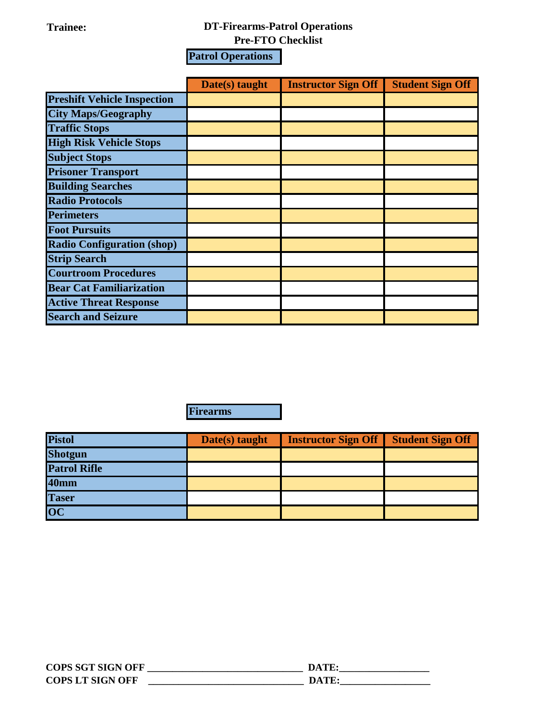## **Trainee: DT-Firearms-Patrol Operations**

**Pre-FTO Checklist**

**Patrol Operations**

|                                    | Date(s) taught | <b>Instructor Sign Off</b> | <b>Student Sign Off</b> |
|------------------------------------|----------------|----------------------------|-------------------------|
| <b>Preshift Vehicle Inspection</b> |                |                            |                         |
| <b>City Maps/Geography</b>         |                |                            |                         |
| <b>Traffic Stops</b>               |                |                            |                         |
| <b>High Risk Vehicle Stops</b>     |                |                            |                         |
| <b>Subject Stops</b>               |                |                            |                         |
| <b>Prisoner Transport</b>          |                |                            |                         |
| <b>Building Searches</b>           |                |                            |                         |
| <b>Radio Protocols</b>             |                |                            |                         |
| <b>Perimeters</b>                  |                |                            |                         |
| <b>Foot Pursuits</b>               |                |                            |                         |
| <b>Radio Configuration (shop)</b>  |                |                            |                         |
| <b>Strip Search</b>                |                |                            |                         |
| <b>Courtroom Procedures</b>        |                |                            |                         |
| <b>Bear Cat Familiarization</b>    |                |                            |                         |
| <b>Active Threat Response</b>      |                |                            |                         |
| <b>Search and Seizure</b>          |                |                            |                         |

**Firearms**

| <b>Pistol</b>       | Date(s) taught | <b>Instructor Sign Off</b> | <b>Student Sign Off</b> |
|---------------------|----------------|----------------------------|-------------------------|
| <b>Shotgun</b>      |                |                            |                         |
| <b>Patrol Rifle</b> |                |                            |                         |
| <b>40mm</b>         |                |                            |                         |
| <b>Taser</b>        |                |                            |                         |
| $\overline{OC}$     |                |                            |                         |

| <b>COPS SGT SIGN OFF</b> | DATE:  |
|--------------------------|--------|
| <b>COPS LT SIGN OFF</b>  | DA TE. |